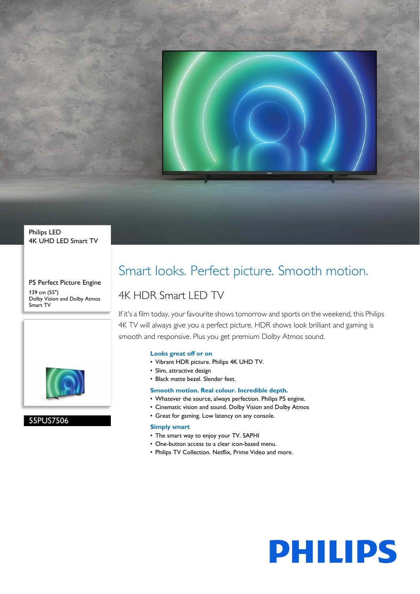

#### Philips LED 4K UHD LED Smart TV

P5 Perfect Picture Engine 139 cm (55") Dolby Vision and Dolby Atmos Smart TV



55PUS7506

### Smart looks. Perfect picture. Smooth motion.

### 4K HDR Smart LED TV

If it's a film today, your favourite shows tomorrow and sports on the weekend, this Philips 4K TV will always give you a perfect picture. HDR shows look brilliant and gaming is smooth and responsive. Plus you get premium Dolby Atmos sound.

#### **Looks great off or on**

- Vibrant HDR picture. Philips 4K UHD TV.
- Slim, attractive design
- Black matte bezel. Slender feet.

#### **Smooth motion. Real colour. Incredible depth.**

- Whatever the source, always perfection. Philips P5 engine.
- Cinematic vision and sound. Dolby Vision and Dolby Atmos
- Great for gaming. Low latency on any console.

#### **Simply smart**

- The smart way to enjoy your TV. SAPHI
- One-button access to a clear icon-based menu.
- Philips TV Collection. Netflix, Prime Video and more.

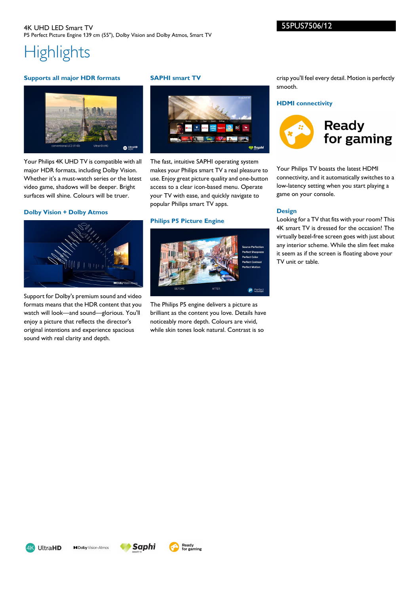# **Highlights**

#### **Supports all major HDR formats**



Your Philips 4K UHD TV is compatible with all major HDR formats, including Dolby Vision. Whether it's a must-watch series or the latest video game, shadows will be deeper. Bright surfaces will shine. Colours will be truer.

#### **Dolby Vision + Dolby Atmos**



Support for Dolby's premium sound and video formats means that the HDR content that you watch will look—and sound—glorious. You'll enjoy a picture that reflects the director's original intentions and experience spacious sound with real clarity and depth.

#### **SAPHI smart TV**



The fast, intuitive SAPHI operating system makes your Philips smart TV a real pleasure to use. Enjoy great picture quality and one-button access to a clear icon-based menu. Operate your TV with ease, and quickly navigate to popular Philips smart TV apps.

#### **Philips P5 Picture Engine**



The Philips P5 engine delivers a picture as brilliant as the content you love. Details have noticeably more depth. Colours are vivid, while skin tones look natural. Contrast is so

crisp you'll feel every detail. Motion is perfectly smooth.

#### **HDMI connectivity**



Your Philips TV boasts the latest HDMI connectivity, and it automatically switches to a low-latency setting when you start playing a game on your console.

#### **Design**

Looking for a TV that fits with your room? This 4K smart TV is dressed for the occasion! The virtually bezel-free screen goes with just about any interior scheme. While the slim feet make it seem as if the screen is floating above your TV unit or table.





**Saphi**